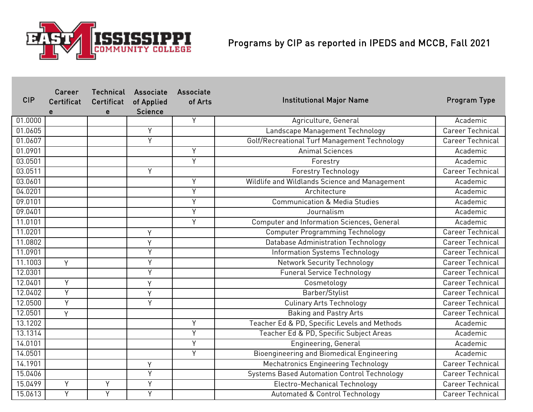

| <b>CIP</b> | Career<br><b>Certificat</b><br>e | Technical<br>Certificat<br>e | Associate<br>of Applied<br><b>Science</b> | <b>Associate</b><br>of Arts | <b>Institutional Major Name</b>                    | Program Type            |
|------------|----------------------------------|------------------------------|-------------------------------------------|-----------------------------|----------------------------------------------------|-------------------------|
| 01.0000    |                                  |                              |                                           | Y                           | Agriculture, General                               | Academic                |
| 01.0605    |                                  |                              | Y                                         |                             | Landscape Management Technology                    | <b>Career Technical</b> |
| 01.0607    |                                  |                              | Y                                         |                             | Golf/Recreational Turf Management Technology       | <b>Career Technical</b> |
| 01.0901    |                                  |                              |                                           | Y                           | <b>Animal Sciences</b>                             | Academic                |
| 03.0501    |                                  |                              |                                           | Y                           | Forestry                                           | Academic                |
| 03.0511    |                                  |                              | Y                                         |                             | <b>Forestry Technology</b>                         | Career Technical        |
| 03.0601    |                                  |                              |                                           | Y                           | Wildlife and Wildlands Science and Management      | Academic                |
| 04.0201    |                                  |                              |                                           | Y                           | Architecture                                       | Academic                |
| 09.0101    |                                  |                              |                                           | $\overline{Y}$              | <b>Communication &amp; Media Studies</b>           | Academic                |
| 09.0401    |                                  |                              |                                           | Y                           | Journalism                                         | Academic                |
| 11.0101    |                                  |                              |                                           | Υ                           | Computer and Information Sciences, General         | Academic                |
| 11.0201    |                                  |                              | Y                                         |                             | <b>Computer Programming Technology</b>             | <b>Career Technical</b> |
| 11.0802    |                                  |                              | Y                                         |                             | <b>Database Administration Technology</b>          | Career Technical        |
| 11.0901    |                                  |                              | Y                                         |                             | Information Systems Technology                     | <b>Career Technical</b> |
| 11.1003    | Y                                |                              | Y                                         |                             | <b>Network Security Technology</b>                 | <b>Career Technical</b> |
| 12.0301    |                                  |                              | Y                                         |                             | <b>Funeral Service Technology</b>                  | <b>Career Technical</b> |
| 12.0401    | Ÿ                                |                              | Y                                         |                             | Cosmetology                                        | <b>Career Technical</b> |
| 12.0402    | Ÿ                                |                              | Y                                         |                             | Barber/Stylist                                     | <b>Career Technical</b> |
| 12.0500    | Ÿ                                |                              | Y                                         |                             | <b>Culinary Arts Technology</b>                    | <b>Career Technical</b> |
| 12.0501    | Y                                |                              |                                           |                             | <b>Baking and Pastry Arts</b>                      | <b>Career Technical</b> |
| 13.1202    |                                  |                              |                                           | Y                           | Teacher Ed & PD, Specific Levels and Methods       | Academic                |
| 13.1314    |                                  |                              |                                           | $\overline{Y}$              | Teacher Ed & PD, Specific Subject Areas            | Academic                |
| 14.0101    |                                  |                              |                                           | Υ                           | Engineering, General                               | Academic                |
| 14.0501    |                                  |                              |                                           | $\overline{Y}$              | <b>Bioengineering and Biomedical Engineering</b>   | Academic                |
| 14.1901    |                                  |                              | Y                                         |                             | <b>Mechatronics Engineering Technology</b>         | Career Technical        |
| 15.0406    |                                  |                              | $\overline{Y}$                            |                             | <b>Systems Based Automation Control Technology</b> | <b>Career Technical</b> |
| 15.0499    | Y                                | Y                            | Y                                         |                             | Electro-Mechanical Technology                      | <b>Career Technical</b> |
| 15.0613    | Y                                | Y                            | Y                                         |                             | Automated & Control Technology                     | <b>Career Technical</b> |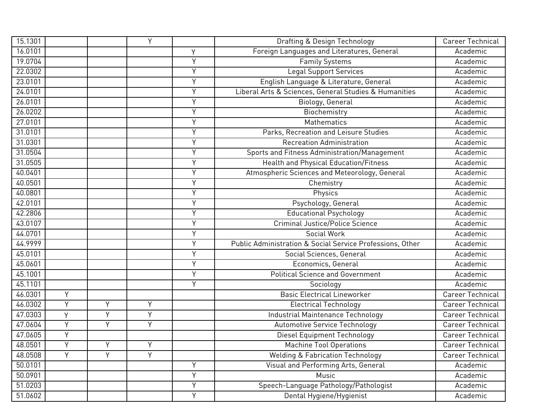| 15.1301 |   |   | Y |   | Drafting & Design Technology                              | <b>Career Technical</b> |
|---------|---|---|---|---|-----------------------------------------------------------|-------------------------|
| 16.0101 |   |   |   | Υ | Foreign Languages and Literatures, General                | Academic                |
| 19.0704 |   |   |   | Y | <b>Family Systems</b>                                     | Academic                |
| 22.0302 |   |   |   | Y | <b>Legal Support Services</b>                             | Academic                |
| 23.0101 |   |   |   | Y | English Language & Literature, General                    | Academic                |
| 24.0101 |   |   |   | Υ | Liberal Arts & Sciences, General Studies & Humanities     | Academic                |
| 26.0101 |   |   |   | Y | Biology, General                                          | Academic                |
| 26.0202 |   |   |   | Υ | Biochemistry                                              | Academic                |
| 27.0101 |   |   |   | Υ | Mathematics                                               | Academic                |
| 31.0101 |   |   |   | Υ | Parks, Recreation and Leisure Studies                     | Academic                |
| 31.0301 |   |   |   | Y | <b>Recreation Administration</b>                          | Academic                |
| 31.0504 |   |   |   | Υ | Sports and Fitness Administration/Management              | Academic                |
| 31.0505 |   |   |   | Υ | Health and Physical Education/Fitness                     | Academic                |
| 40.0401 |   |   |   | Y | Atmospheric Sciences and Meteorology, General             | Academic                |
| 40.0501 |   |   |   | Y | Chemistry                                                 | Academic                |
| 40.0801 |   |   |   | Y | Physics                                                   | Academic                |
| 42.0101 |   |   |   | Y | Psychology, General                                       | Academic                |
| 42.2806 |   |   |   | Y | <b>Educational Psychology</b>                             | Academic                |
| 43.0107 |   |   |   | Ÿ | <b>Criminal Justice/Police Science</b>                    | Academic                |
| 44.0701 |   |   |   | Ÿ | Social Work                                               | Academic                |
| 44.9999 |   |   |   | Ÿ | Public Administration & Social Service Professions, Other | Academic                |
| 45.0101 |   |   |   | Y | Social Sciences, General                                  | Academic                |
| 45.0601 |   |   |   | Y | Economics, General                                        | Academic                |
| 45.1001 |   |   |   | Y | <b>Political Science and Government</b>                   | Academic                |
| 45.1101 |   |   |   | Y | Sociology                                                 | Academic                |
| 46.0301 | Y |   |   |   | <b>Basic Electrical Lineworker</b>                        | <b>Career Technical</b> |
| 46.0302 | Y | Y | Y |   | <b>Electrical Technology</b>                              | <b>Career Technical</b> |
| 47.0303 | Y | Υ | Y |   | Industrial Maintenance Technology                         | <b>Career Technical</b> |
| 47.0604 | Y | Y | Y |   | Automotive Service Technology                             | Career Technical        |
| 47.0605 | Y |   |   |   | Diesel Equipment Technology                               | <b>Career Technical</b> |
| 48.0501 | Y | Y | Y |   | <b>Machine Tool Operations</b>                            | Career Technical        |
| 48.0508 | Ÿ | Y | Y |   | <b>Welding &amp; Fabrication Technology</b>               | Career Technical        |
| 50.0101 |   |   |   | Y | Visual and Performing Arts, General                       | Academic                |
| 50.0901 |   |   |   | Y | Music                                                     | Academic                |
| 51.0203 |   |   |   | Υ | Speech-Language Pathology/Pathologist                     | Academic                |
| 51.0602 |   |   |   | Y | Dental Hygiene/Hygienist                                  | Academic                |